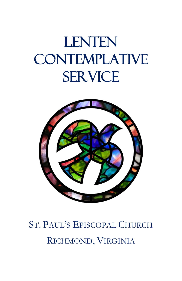# **LENTEN CONTEMPLATIVE SERVICE**



# ST. PAUL'S EPISCOPAL CHURCH RICHMOND, VIRGINIA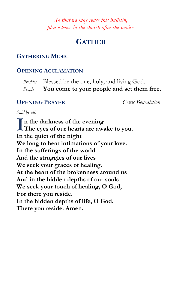*So that we may reuse this bulletin, please leave in the church after the service.*

# **GATHER**

#### **GATHERING MUSIC**

#### **OPENING ACCLAMATION**

*Presider* Blessed be the one, holy, and living God. *People* **You come to your people and set them free.**

#### **OPENING PRAYER** *Celtic Benediction*

*Said by all.* 

**n the darkness of the evening** In the darkness of the evening<br>The eyes of our hearts are awake to you. **In the quiet of the night We long to hear intimations of your love. In the sufferings of the world And the struggles of our lives We seek your graces of healing. At the heart of the brokenness around us And in the hidden depths of our souls We seek your touch of healing, O God, For there you reside. In the hidden depths of life, O God, There you reside. Amen.**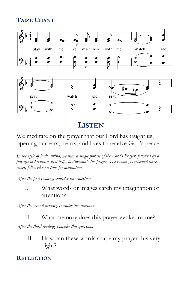# **TAIZÉ CHANT**



# **LISTEN**

#### We meditate on the prayer that our Lord has taught us, opening our ears, hearts, and lives to receive God's peace.

*In the style of lectio divina, we hear a single phrase of the Lord's Prayer, followed by a passage of Scripture that helps to illuminate the prayer. The reading is repeated three times, followed by a time for meditation.*

*After the first reading, consider this question.*

#### I. What words or images catch my imagination or attention?

*After the second reading, consider this question.*

#### II. What memory does this prayer evoke for me?

*After the third reading, consider this question.*

III. How can these words shape my prayer this very night?

#### **REFLECTION**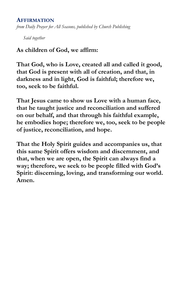#### **AFFIRMATION**

*from Daily Prayer for All Seasons, published by Church Publishing*

*Said together*

#### **As children of God, we affirm:**

**That God, who is Love, created all and called it good, that God is present with all of creation, and that, in darkness and in light, God is faithful; therefore we, too, seek to be faithful.**

**That Jesus came to show us Love with a human face, that he taught justice and reconciliation and suffered on our behalf, and that through his faithful example, he embodies hope; therefore we, too, seek to be people of justice, reconciliation, and hope.**

**That the Holy Spirit guides and accompanies us, that this same Spirit offers wisdom and discernment, and that, when we are open, the Spirit can always find a way; therefore, we seek to be people filled with God's Spirit: discerning, loving, and transforming our world. Amen.**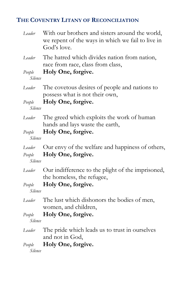# **THE COVENTRY LITANY OF RECONCILIATION**

| Leader                      | With our brothers and sisters around the world,<br>we repent of the ways in which we fail to live in<br>God's love. |
|-----------------------------|---------------------------------------------------------------------------------------------------------------------|
| Leader                      | The hatred which divides nation from nation,<br>race from race, class from class,                                   |
| People<br>Silence           | Holy One, forgive.                                                                                                  |
| Leader                      | The covetous desires of people and nations to<br>possess what is not their own,                                     |
| People<br>Silence           | Holy One, forgive.                                                                                                  |
| Leader                      | The greed which exploits the work of human<br>hands and lays waste the earth,                                       |
| People<br>Silence           | Holy One, forgive.                                                                                                  |
| Leader<br>People<br>Silence | Our envy of the welfare and happiness of others,<br>Holy One, forgive.                                              |
| Leader                      | Our indifference to the plight of the imprisoned,<br>the homeless, the refugee,                                     |
| People<br>Silence           | Holy One, forgive.                                                                                                  |
| Leader                      | The lust which dishonors the bodies of men,<br>women, and children,                                                 |
| People<br>Silence           | Holy One, forgive.                                                                                                  |
| Leader                      | The pride which leads us to trust in ourselves<br>and not in God,                                                   |
| People<br>Silence           | Holy One, forgive.                                                                                                  |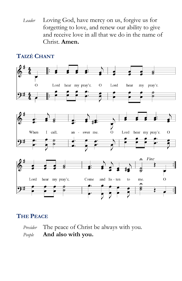*Leader* Loving God, have mercy on us, forgive us for forgetting to love, and renew our ability to give and receive love in all that we do in the name of Christ. **Amen.**

#### **TAIZÉ CHANT**



### **THE PEACE**

*Presider* The peace of Christ be always with you. *People* **And also with you.**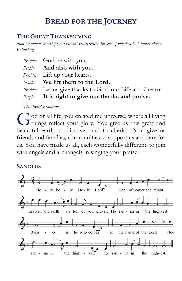# **BREAD FOR THE JOURNEY**

#### **THE GREAT THANKSGIVING**

*from Common Worship: Additional Eucharistic Prayers - published by Church House Publishing*

| <i>Presider</i> God be with you.                                 |
|------------------------------------------------------------------|
| <i>People</i> <b>And also with you.</b>                          |
| <i>Presider</i> Lift up your hearts.                             |
| $People$ We lift them to the Lord.                               |
| <i>Presider</i> Let us give thanks to God, our Life and Creator. |
| $People$ It is right to give our thanks and praise.              |

*The Presider continues*

od of all life, you created the universe, where all living God of all life, you created the universe, where all living things reflect your glory. You give us this great and beautiful earth, to discover and to cherish. You give us friends and families, communities to support us and care for us. You have made us all, each wonderfully different, to join with angels and archangels in singing your praise:

#### **SANCTUS**

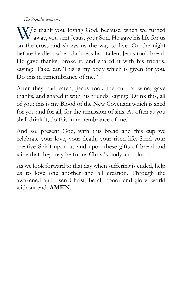*The Presider continues*

We thank you, loving God, because, when we turned<br>away, you sent Jesus, your Son. He gave his life for us away, you sent Jesus, your Son. He gave his life for us on the cross and shows us the way to live. On the night before he died, when darkness had fallen, Jesus took bread. He gave thanks, broke it, and shared it with his friends, saying: 'Take, eat. This is my body which is given for you. Do this in remembrance of me."

After they had eaten, Jesus took the cup of wine, gave thanks, and shared it with his friends, saying: 'Drink this, all of you; this is my Blood of the New Covenant which is shed for you and for all, for the remission of sins. As often as you shall drink it, do this in remembrance of me.'

And so, present God, with this bread and this cup we celebrate your love, your death, your risen life. Send your creative Spirit upon us and upon these gifts of bread and wine that they may be for us Christ's body and blood.

As we look forward to that day when suffering is ended, help us to love one another and all creation. Through the awakened and risen Christ, be all honor and glory, world without end. **AMEN**.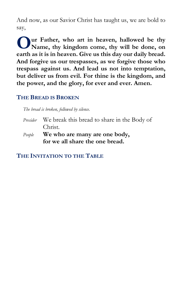And now, as our Savior Christ has taught us, we are bold to say,

**ur Father, who art in heaven, hallowed be thy Name, thy kingdom come, thy will be done, on earth as it is in heaven. Give us this day our daily bread. And forgive us our trespasses, as we forgive those who trespass against us. And lead us not into temptation, but deliver us from evil. For thine is the kingdom, and the power, and the glory, for ever and ever. Amen. O**

#### **THE BREAD IS BROKEN**

*The bread is broken, followed by silence.*

- *Presider* We break this bread to share in the Body of Christ.
- *People* **We who are many are one body, for we all share the one bread.**

**THE INVITATION TO THE TABLE**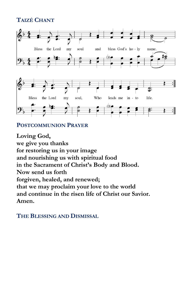# **TAIZÉ CHANT**



#### **POSTCOMMUNION PRAYER**

**Loving God, we give you thanks for restoring us in your image and nourishing us with spiritual food in the Sacrament of Christ's Body and Blood. Now send us forth forgiven, healed, and renewed; that we may proclaim your love to the world and continue in the risen life of Christ our Savior. Amen.**

#### **THE BLESSING AND DISMISSAL**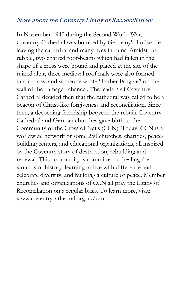#### Note about the Coventry Litany of Reconciliation:

In November 1940 during the Second World War, Coventry Cathedral was bombed by Germany's Luftwaffe, leaving the cathedral and many lives in ruins. Amidst the rubble, two charred roof-beams which had fallen in the shape of a cross were bound and placed at the site of the ruined altar, three medieval roof nails were also formed into a cross, and someone wrote "Father Forgive" on the wall of the damaged chancel. The leaders of Coventry Cathedral decided then that the cathedral was called to be a beacon of Christ-like forgiveness and reconciliation. Since then, a deepening friendship between the rebuilt Coventry Cathedral and German churches gave birth to the Community of the Cross of Nails (CCN). Today, CCN is a worldwide network of some 250 churches, charities, peacebuilding centers, and educational organizations, all inspired by the Coventry story of destruction, rebuilding and renewal. This community is committed to healing the wounds of history, learning to live with difference and celebrate diversity, and building a culture of peace. Member churches and organizations of CCN all pray the Litany of Reconciliation on a regular basis. To learn more, visit: [www.coventrycathedral.org.uk/ccn](http://www.coventrycathedral.org.uk/ccn/)